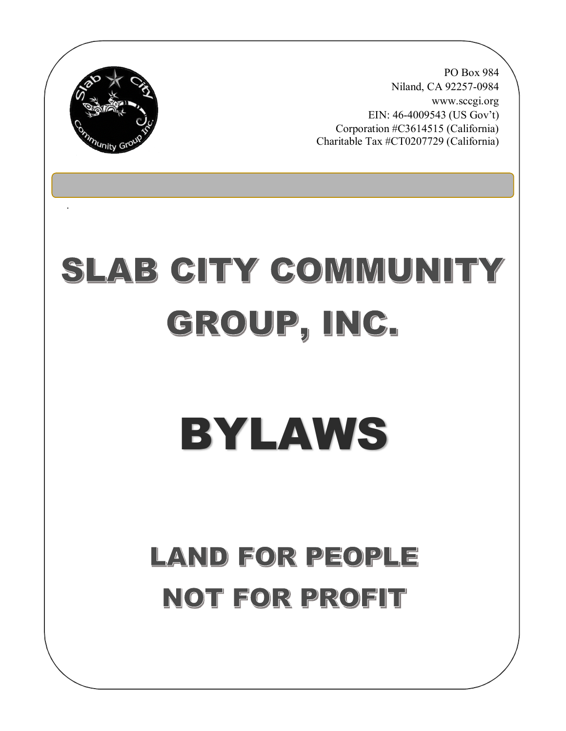

.

PO Box 984 Niland, CA 92257-0984 www.sccgi.org EIN: 46-4009543 (US Gov't) Corporation #C3614515 (California) Charitable Tax #CT0207729 (California)

# SLAB CITY COMMUNITY GROUP, INC.

# BYLAWS

# LAND FOR PEOPLE NOT FOR PROFIT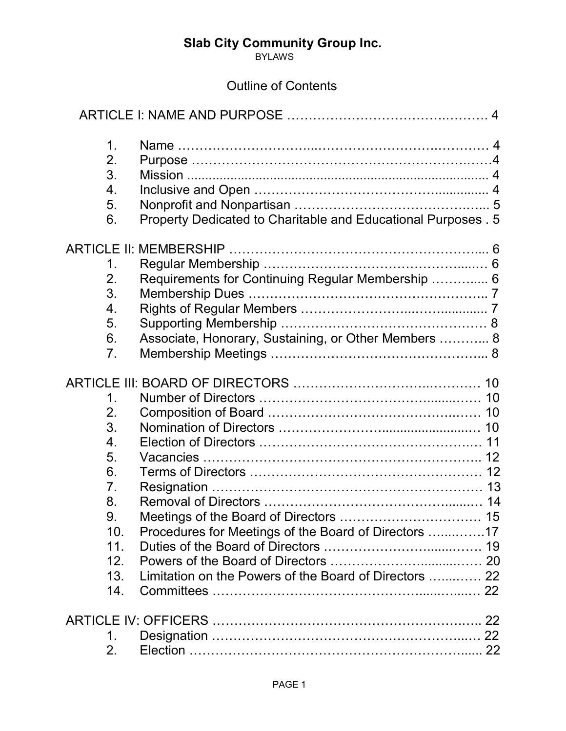**BYLAWS** 

# Outline of Contents

| $\mathbf 1$ .    |                                                               |  |
|------------------|---------------------------------------------------------------|--|
| 2.               |                                                               |  |
| 3.               |                                                               |  |
| 4.               |                                                               |  |
| 5.               |                                                               |  |
| 6.               | Property Dedicated to Charitable and Educational Purposes . 5 |  |
|                  |                                                               |  |
| 1.               |                                                               |  |
| 2.               | Requirements for Continuing Regular Membership  6             |  |
| 3.               |                                                               |  |
| 4.               |                                                               |  |
| 5.               |                                                               |  |
| 6.               | Associate, Honorary, Sustaining, or Other Members  8          |  |
| 7.               |                                                               |  |
|                  |                                                               |  |
| $\mathbf 1$ .    |                                                               |  |
| 2.               |                                                               |  |
| 3.               |                                                               |  |
| $\overline{4}$ . |                                                               |  |
| 5.               |                                                               |  |
| 6.               |                                                               |  |
| 7.               |                                                               |  |
| 8.               |                                                               |  |
| $\mathbf{Q}$     |                                                               |  |
| 10.              | Procedures for Meetings of the Board of Directors 17          |  |
| 11.              |                                                               |  |
| 12 <sub>1</sub>  |                                                               |  |
| 13.              | Limitation on the Powers of the Board of Directors  22        |  |
| 14.              |                                                               |  |
|                  |                                                               |  |
| 1.               |                                                               |  |
| 2.               |                                                               |  |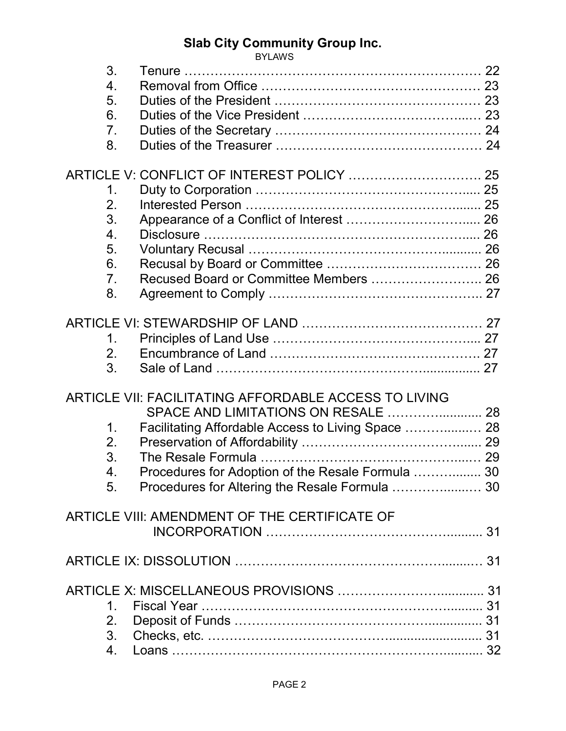|                  | <b>BYLAWS</b>                                         |  |
|------------------|-------------------------------------------------------|--|
| 3.               |                                                       |  |
| 4.               |                                                       |  |
| 5.               |                                                       |  |
| 6.               |                                                       |  |
| 7 <sub>1</sub>   |                                                       |  |
| 8.               |                                                       |  |
|                  |                                                       |  |
|                  |                                                       |  |
| 1.               |                                                       |  |
| 2.               |                                                       |  |
| 3.               | Appearance of a Conflict of Interest  26              |  |
| $\overline{4}$ . |                                                       |  |
| 5.               |                                                       |  |
| 6.               |                                                       |  |
| 7 <sub>1</sub>   | Recused Board or Committee Members  26                |  |
| 8.               |                                                       |  |
|                  |                                                       |  |
|                  |                                                       |  |
|                  |                                                       |  |
| 1.               |                                                       |  |
| 2.               |                                                       |  |
| 3.               |                                                       |  |
|                  |                                                       |  |
|                  | ARTICLE VII: FACILITATING AFFORDABLE ACCESS TO LIVING |  |
|                  | SPACE AND LIMITATIONS ON RESALE  28                   |  |
| 1.               | Facilitating Affordable Access to Living Space  28    |  |
| 2.               |                                                       |  |
| 3.               |                                                       |  |
| 4.               | Procedures for Adoption of the Resale Formula  30     |  |
| 5.               | Procedures for Altering the Resale Formula  30        |  |
|                  |                                                       |  |
|                  | ARTICLE VIII: AMENDMENT OF THE CERTIFICATE OF         |  |
|                  |                                                       |  |
|                  |                                                       |  |
|                  |                                                       |  |
|                  |                                                       |  |
|                  |                                                       |  |
| $1_{-}$          |                                                       |  |
| 2.               |                                                       |  |
| 3.               |                                                       |  |
| 4.               |                                                       |  |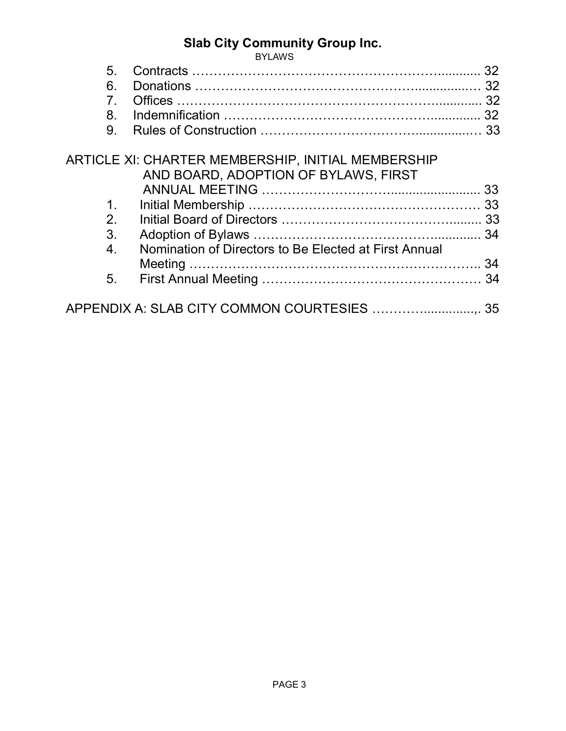|                  | <b>BYLAWS</b>                                             |    |
|------------------|-----------------------------------------------------------|----|
| 5.               |                                                           | 32 |
| 6.               |                                                           | 32 |
| $\overline{7}$   |                                                           |    |
| 8.               |                                                           |    |
| 9.               |                                                           |    |
|                  | <b>ARTICLE XI: CHARTER MEMBERSHIP, INITIAL MEMBERSHIP</b> |    |
|                  | AND BOARD, ADOPTION OF BYLAWS, FIRST                      |    |
|                  |                                                           |    |
| 1 <sub>1</sub>   |                                                           |    |
| 2.               |                                                           |    |
| 3.               |                                                           |    |
| $\overline{4}$ . | Nomination of Directors to Be Elected at First Annual     |    |
|                  |                                                           |    |
| 5.               |                                                           |    |
|                  | APPENDIX A: SLAB CITY COMMON COURTESIES  35               |    |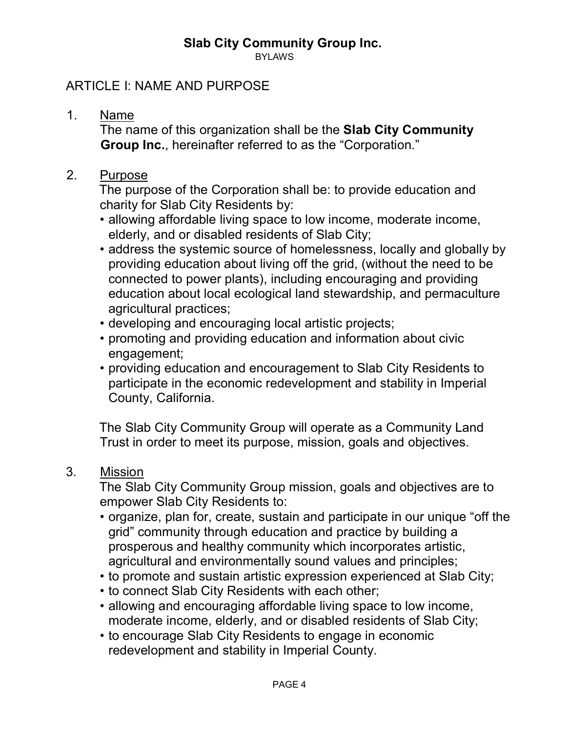BYLAWS

#### ARTICLE I: NAME AND PURPOSE

1. Name

The name of this organization shall be the **Slab City Community Group Inc.**, hereinafter referred to as the "Corporation."

2. Purpose

The purpose of the Corporation shall be: to provide education and charity for Slab City Residents by:

- allowing affordable living space to low income, moderate income, elderly, and or disabled residents of Slab City;
- address the systemic source of homelessness, locally and globally by providing education about living off the grid, (without the need to be connected to power plants), including encouraging and providing education about local ecological land stewardship, and permaculture agricultural practices;
- developing and encouraging local artistic projects;
- promoting and providing education and information about civic engagement;
- providing education and encouragement to Slab City Residents to participate in the economic redevelopment and stability in Imperial County, California.

The Slab City Community Group will operate as a Community Land Trust in order to meet its purpose, mission, goals and objectives.

#### 3. Mission

The Slab City Community Group mission, goals and objectives are to empower Slab City Residents to:

- organize, plan for, create, sustain and participate in our unique "off the grid" community through education and practice by building a prosperous and healthy community which incorporates artistic, agricultural and environmentally sound values and principles;
- to promote and sustain artistic expression experienced at Slab City;
- to connect Slab City Residents with each other;
- allowing and encouraging affordable living space to low income, moderate income, elderly, and or disabled residents of Slab City;
- to encourage Slab City Residents to engage in economic redevelopment and stability in Imperial County.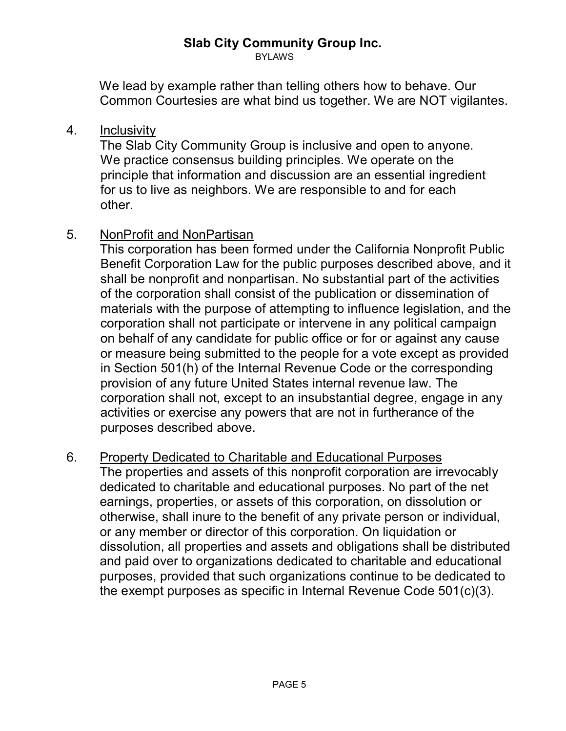BYLAWS

We lead by example rather than telling others how to behave. Our Common Courtesies are what bind us together. We are NOT vigilantes.

#### 4. Inclusivity

The Slab City Community Group is inclusive and open to anyone. We practice consensus building principles. We operate on the principle that information and discussion are an essential ingredient for us to live as neighbors. We are responsible to and for each other.

#### 5. NonProfit and NonPartisan

This corporation has been formed under the California Nonprofit Public Benefit Corporation Law for the public purposes described above, and it shall be nonprofit and nonpartisan. No substantial part of the activities of the corporation shall consist of the publication or dissemination of materials with the purpose of attempting to influence legislation, and the corporation shall not participate or intervene in any political campaign on behalf of any candidate for public office or for or against any cause or measure being submitted to the people for a vote except as provided in Section 501(h) of the Internal Revenue Code or the corresponding provision of any future United States internal revenue law. The corporation shall not, except to an insubstantial degree, engage in any activities or exercise any powers that are not in furtherance of the purposes described above.

#### 6. Property Dedicated to Charitable and Educational Purposes

The properties and assets of this nonprofit corporation are irrevocably dedicated to charitable and educational purposes. No part of the net earnings, properties, or assets of this corporation, on dissolution or otherwise, shall inure to the benefit of any private person or individual, or any member or director of this corporation. On liquidation or dissolution, all properties and assets and obligations shall be distributed and paid over to organizations dedicated to charitable and educational purposes, provided that such organizations continue to be dedicated to the exempt purposes as specific in Internal Revenue Code 501(c)(3).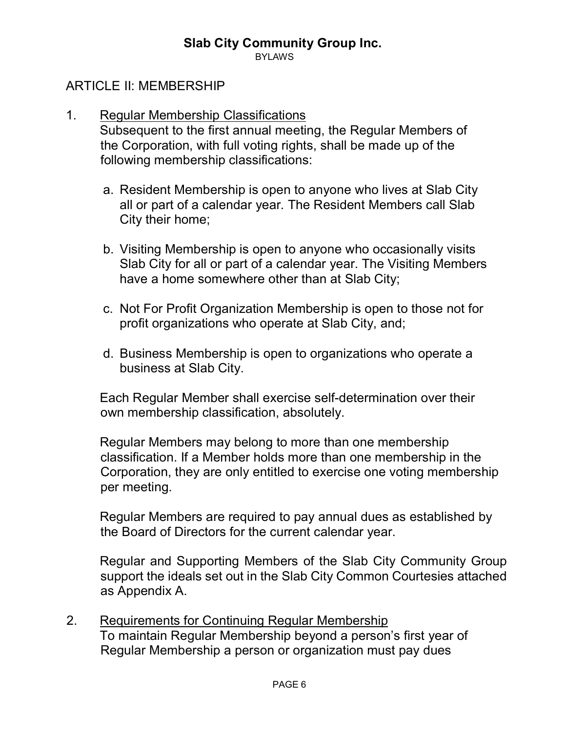**BYLAWS** 

#### ARTICLE II: MEMBERSHIP

#### 1. Regular Membership Classifications

Subsequent to the first annual meeting, the Regular Members of the Corporation, with full voting rights, shall be made up of the following membership classifications:

- a. Resident Membership is open to anyone who lives at Slab City all or part of a calendar year. The Resident Members call Slab City their home;
- b. Visiting Membership is open to anyone who occasionally visits Slab City for all or part of a calendar year. The Visiting Members have a home somewhere other than at Slab City;
- c. Not For Profit Organization Membership is open to those not for profit organizations who operate at Slab City, and;
- d. Business Membership is open to organizations who operate a business at Slab City.

Each Regular Member shall exercise self-determination over their own membership classification, absolutely.

Regular Members may belong to more than one membership classification. If a Member holds more than one membership in the Corporation, they are only entitled to exercise one voting membership per meeting.

Regular Members are required to pay annual dues as established by the Board of Directors for the current calendar year.

Regular and Supporting Members of the Slab City Community Group support the ideals set out in the Slab City Common Courtesies attached as Appendix A.

2. Requirements for Continuing Regular Membership To maintain Regular Membership beyond a person's first year of Regular Membership a person or organization must pay dues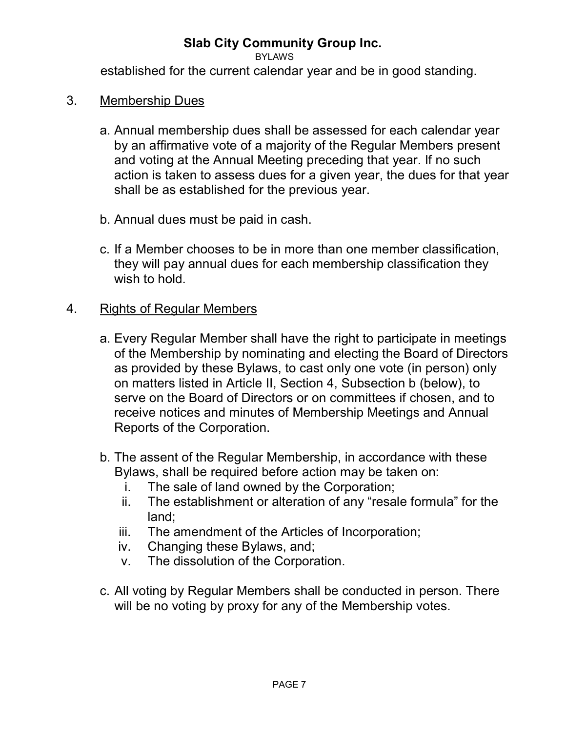BYLAWS

established for the current calendar year and be in good standing.

- 3. Membership Dues
	- a. Annual membership dues shall be assessed for each calendar year by an affirmative vote of a majority of the Regular Members present and voting at the Annual Meeting preceding that year. If no such action is taken to assess dues for a given year, the dues for that year shall be as established for the previous year.
	- b. Annual dues must be paid in cash.
	- c. If a Member chooses to be in more than one member classification, they will pay annual dues for each membership classification they wish to hold.

#### 4. Rights of Regular Members

- a. Every Regular Member shall have the right to participate in meetings of the Membership by nominating and electing the Board of Directors as provided by these Bylaws, to cast only one vote (in person) only on matters listed in Article II, Section 4, Subsection b (below), to serve on the Board of Directors or on committees if chosen, and to receive notices and minutes of Membership Meetings and Annual Reports of the Corporation.
- b. The assent of the Regular Membership, in accordance with these Bylaws, shall be required before action may be taken on:
	- i. The sale of land owned by the Corporation;
	- ii. The establishment or alteration of any "resale formula" for the land;
	- iii. The amendment of the Articles of Incorporation;
	- iv. Changing these Bylaws, and;
	- v. The dissolution of the Corporation.
- c. All voting by Regular Members shall be conducted in person. There will be no voting by proxy for any of the Membership votes.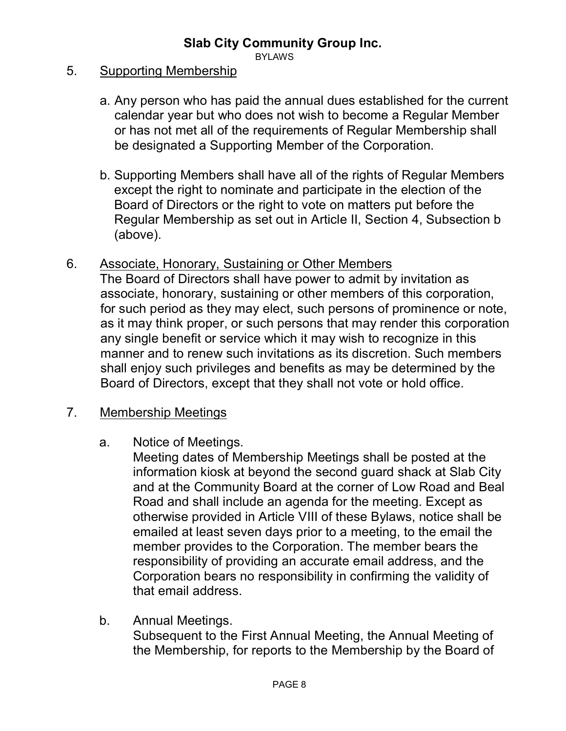BYLAWS

#### 5. Supporting Membership

- a. Any person who has paid the annual dues established for the current calendar year but who does not wish to become a Regular Member or has not met all of the requirements of Regular Membership shall be designated a Supporting Member of the Corporation.
- b. Supporting Members shall have all of the rights of Regular Members except the right to nominate and participate in the election of the Board of Directors or the right to vote on matters put before the Regular Membership as set out in Article II, Section 4, Subsection b (above).

#### 6. Associate, Honorary, Sustaining or Other Members

The Board of Directors shall have power to admit by invitation as associate, honorary, sustaining or other members of this corporation, for such period as they may elect, such persons of prominence or note, as it may think proper, or such persons that may render this corporation any single benefit or service which it may wish to recognize in this manner and to renew such invitations as its discretion. Such members shall enjoy such privileges and benefits as may be determined by the Board of Directors, except that they shall not vote or hold office.

#### 7. Membership Meetings

a. Notice of Meetings.

Meeting dates of Membership Meetings shall be posted at the information kiosk at beyond the second guard shack at Slab City and at the Community Board at the corner of Low Road and Beal Road and shall include an agenda for the meeting. Except as otherwise provided in Article VIII of these Bylaws, notice shall be emailed at least seven days prior to a meeting, to the email the member provides to the Corporation. The member bears the responsibility of providing an accurate email address, and the Corporation bears no responsibility in confirming the validity of that email address.

b. Annual Meetings. Subsequent to the First Annual Meeting, the Annual Meeting of the Membership, for reports to the Membership by the Board of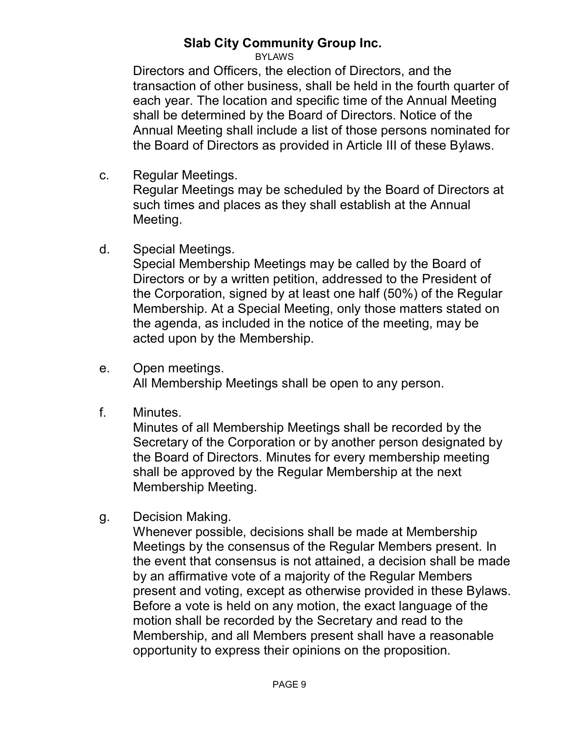BYLAWS

Directors and Officers, the election of Directors, and the transaction of other business, shall be held in the fourth quarter of each year. The location and specific time of the Annual Meeting shall be determined by the Board of Directors. Notice of the Annual Meeting shall include a list of those persons nominated for the Board of Directors as provided in Article III of these Bylaws.

c. Regular Meetings.

Regular Meetings may be scheduled by the Board of Directors at such times and places as they shall establish at the Annual Meeting.

d. Special Meetings.

Special Membership Meetings may be called by the Board of Directors or by a written petition, addressed to the President of the Corporation, signed by at least one half (50%) of the Regular Membership. At a Special Meeting, only those matters stated on the agenda, as included in the notice of the meeting, may be acted upon by the Membership.

- e. Open meetings. All Membership Meetings shall be open to any person.
- f. Minutes.

Minutes of all Membership Meetings shall be recorded by the Secretary of the Corporation or by another person designated by the Board of Directors. Minutes for every membership meeting shall be approved by the Regular Membership at the next Membership Meeting.

g. Decision Making.

Whenever possible, decisions shall be made at Membership Meetings by the consensus of the Regular Members present. In the event that consensus is not attained, a decision shall be made by an affirmative vote of a majority of the Regular Members present and voting, except as otherwise provided in these Bylaws. Before a vote is held on any motion, the exact language of the motion shall be recorded by the Secretary and read to the Membership, and all Members present shall have a reasonable opportunity to express their opinions on the proposition.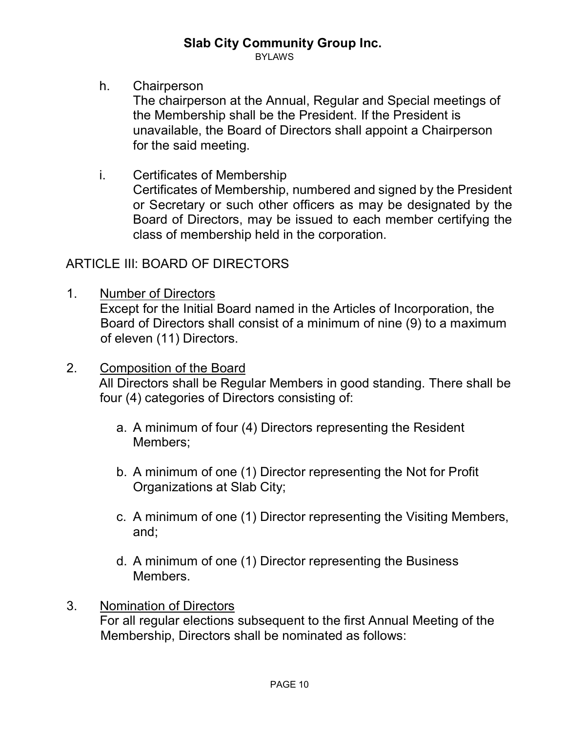BYLAWS

h. Chairperson

The chairperson at the Annual, Regular and Special meetings of the Membership shall be the President. If the President is unavailable, the Board of Directors shall appoint a Chairperson for the said meeting.

i. Certificates of Membership Certificates of Membership, numbered and signed by the President or Secretary or such other officers as may be designated by the Board of Directors, may be issued to each member certifying the class of membership held in the corporation.

#### ARTICLE III: BOARD OF DIRECTORS

- 1. Number of Directors Except for the Initial Board named in the Articles of Incorporation, the Board of Directors shall consist of a minimum of nine (9) to a maximum of eleven (11) Directors.
- 2. Composition of the Board

All Directors shall be Regular Members in good standing. There shall be four (4) categories of Directors consisting of:

- a. A minimum of four (4) Directors representing the Resident Members;
- b. A minimum of one (1) Director representing the Not for Profit Organizations at Slab City;
- c. A minimum of one (1) Director representing the Visiting Members, and;
- d. A minimum of one (1) Director representing the Business Members.

#### 3. Nomination of Directors

For all regular elections subsequent to the first Annual Meeting of the Membership, Directors shall be nominated as follows: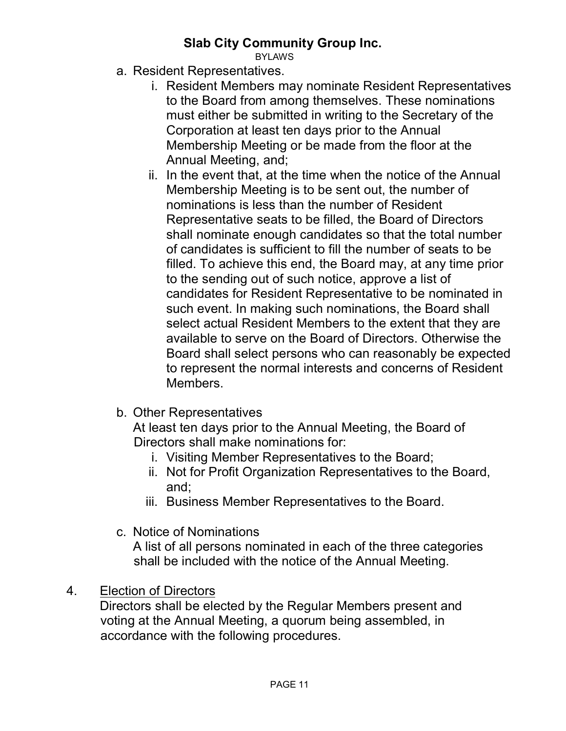BYLAWS

- a. Resident Representatives.
	- i. Resident Members may nominate Resident Representatives to the Board from among themselves. These nominations must either be submitted in writing to the Secretary of the Corporation at least ten days prior to the Annual Membership Meeting or be made from the floor at the Annual Meeting, and;
	- ii. In the event that, at the time when the notice of the Annual Membership Meeting is to be sent out, the number of nominations is less than the number of Resident Representative seats to be filled, the Board of Directors shall nominate enough candidates so that the total number of candidates is sufficient to fill the number of seats to be filled. To achieve this end, the Board may, at any time prior to the sending out of such notice, approve a list of candidates for Resident Representative to be nominated in such event. In making such nominations, the Board shall select actual Resident Members to the extent that they are available to serve on the Board of Directors. Otherwise the Board shall select persons who can reasonably be expected to represent the normal interests and concerns of Resident Members.
- b. Other Representatives

At least ten days prior to the Annual Meeting, the Board of Directors shall make nominations for:

- i. Visiting Member Representatives to the Board;
- ii. Not for Profit Organization Representatives to the Board, and;
- iii. Business Member Representatives to the Board.
- c. Notice of Nominations

A list of all persons nominated in each of the three categories shall be included with the notice of the Annual Meeting.

4. Election of Directors

Directors shall be elected by the Regular Members present and voting at the Annual Meeting, a quorum being assembled, in accordance with the following procedures.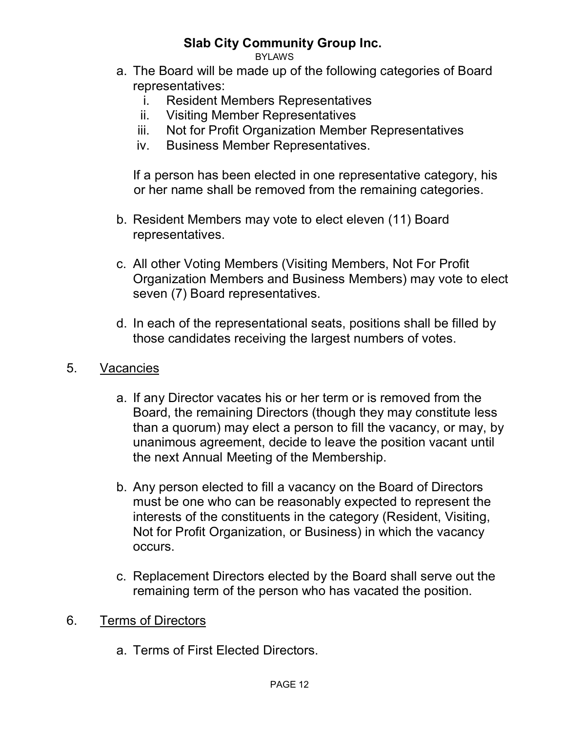BYLAWS

- a. The Board will be made up of the following categories of Board representatives:
	- i. Resident Members Representatives
	- ii. Visiting Member Representatives
	- iii. Not for Profit Organization Member Representatives
	- iv. Business Member Representatives.

If a person has been elected in one representative category, his or her name shall be removed from the remaining categories.

- b. Resident Members may vote to elect eleven (11) Board representatives.
- c. All other Voting Members (Visiting Members, Not For Profit Organization Members and Business Members) may vote to elect seven (7) Board representatives.
- d. In each of the representational seats, positions shall be filled by those candidates receiving the largest numbers of votes.
- 5. Vacancies
	- a. If any Director vacates his or her term or is removed from the Board, the remaining Directors (though they may constitute less than a quorum) may elect a person to fill the vacancy, or may, by unanimous agreement, decide to leave the position vacant until the next Annual Meeting of the Membership.
	- b. Any person elected to fill a vacancy on the Board of Directors must be one who can be reasonably expected to represent the interests of the constituents in the category (Resident, Visiting, Not for Profit Organization, or Business) in which the vacancy occurs.
	- c. Replacement Directors elected by the Board shall serve out the remaining term of the person who has vacated the position.
- 6. Terms of Directors
	- a. Terms of First Elected Directors.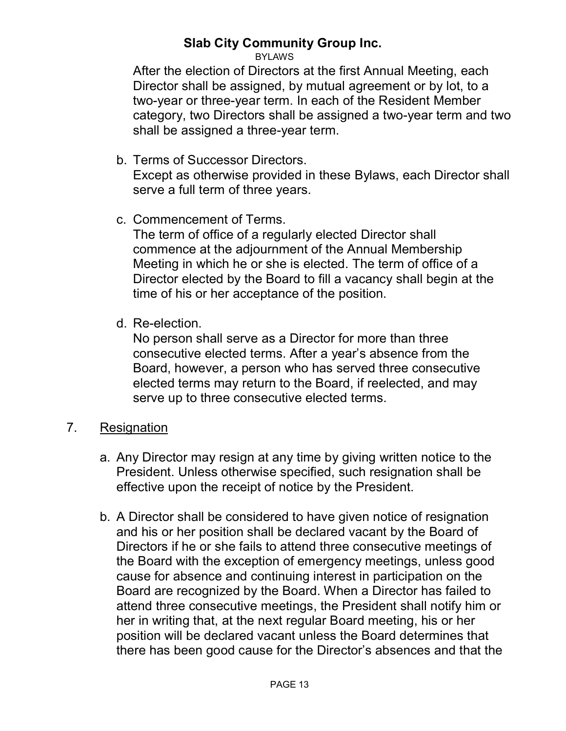BYLAWS

After the election of Directors at the first Annual Meeting, each Director shall be assigned, by mutual agreement or by lot, to a two-year or three-year term. In each of the Resident Member category, two Directors shall be assigned a two-year term and two shall be assigned a three-year term.

b. Terms of Successor Directors.

Except as otherwise provided in these Bylaws, each Director shall serve a full term of three years.

c. Commencement of Terms.

The term of office of a regularly elected Director shall commence at the adjournment of the Annual Membership Meeting in which he or she is elected. The term of office of a Director elected by the Board to fill a vacancy shall begin at the time of his or her acceptance of the position.

d. Re-election.

No person shall serve as a Director for more than three consecutive elected terms. After a year's absence from the Board, however, a person who has served three consecutive elected terms may return to the Board, if reelected, and may serve up to three consecutive elected terms.

- 7. Resignation
	- a. Any Director may resign at any time by giving written notice to the President. Unless otherwise specified, such resignation shall be effective upon the receipt of notice by the President.
	- b. A Director shall be considered to have given notice of resignation and his or her position shall be declared vacant by the Board of Directors if he or she fails to attend three consecutive meetings of the Board with the exception of emergency meetings, unless good cause for absence and continuing interest in participation on the Board are recognized by the Board. When a Director has failed to attend three consecutive meetings, the President shall notify him or her in writing that, at the next regular Board meeting, his or her position will be declared vacant unless the Board determines that there has been good cause for the Director's absences and that the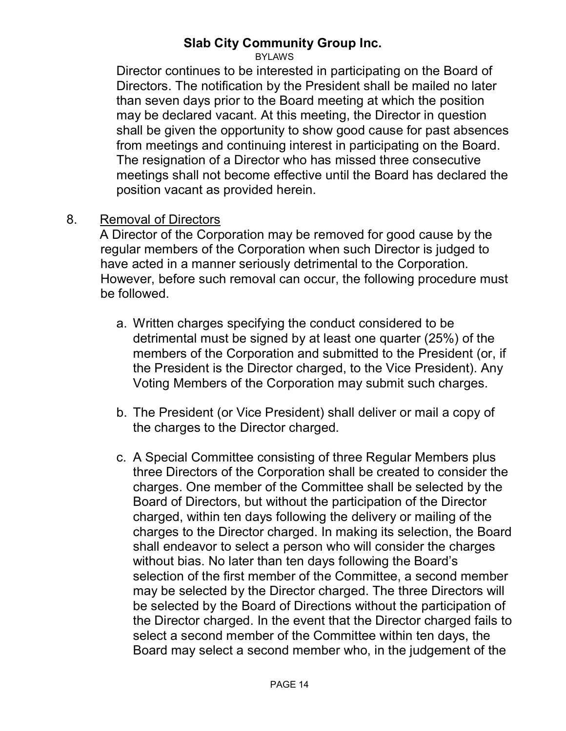BYLAWS

Director continues to be interested in participating on the Board of Directors. The notification by the President shall be mailed no later than seven days prior to the Board meeting at which the position may be declared vacant. At this meeting, the Director in question shall be given the opportunity to show good cause for past absences from meetings and continuing interest in participating on the Board. The resignation of a Director who has missed three consecutive meetings shall not become effective until the Board has declared the position vacant as provided herein.

#### 8. Removal of Directors

A Director of the Corporation may be removed for good cause by the regular members of the Corporation when such Director is judged to have acted in a manner seriously detrimental to the Corporation. However, before such removal can occur, the following procedure must be followed.

- a. Written charges specifying the conduct considered to be detrimental must be signed by at least one quarter (25%) of the members of the Corporation and submitted to the President (or, if the President is the Director charged, to the Vice President). Any Voting Members of the Corporation may submit such charges.
- b. The President (or Vice President) shall deliver or mail a copy of the charges to the Director charged.
- c. A Special Committee consisting of three Regular Members plus three Directors of the Corporation shall be created to consider the charges. One member of the Committee shall be selected by the Board of Directors, but without the participation of the Director charged, within ten days following the delivery or mailing of the charges to the Director charged. In making its selection, the Board shall endeavor to select a person who will consider the charges without bias. No later than ten days following the Board's selection of the first member of the Committee, a second member may be selected by the Director charged. The three Directors will be selected by the Board of Directions without the participation of the Director charged. In the event that the Director charged fails to select a second member of the Committee within ten days, the Board may select a second member who, in the judgement of the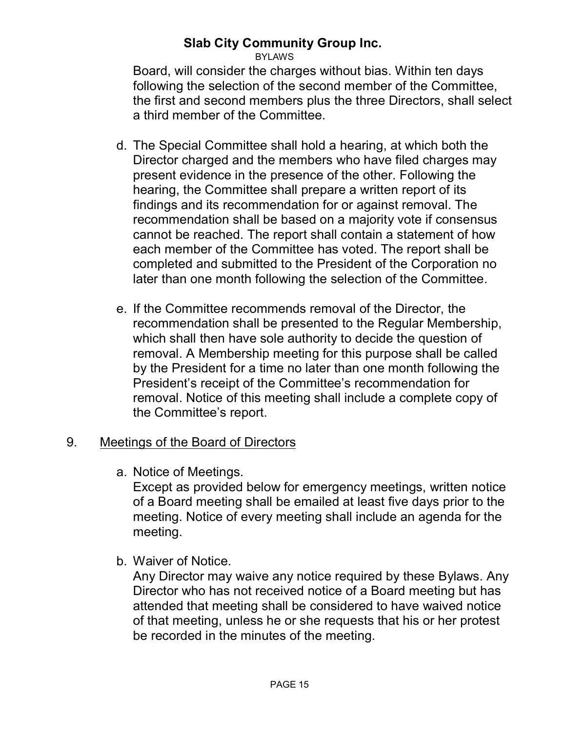#### **Slab City Community Group Inc.**BYLAWS

Board, will consider the charges without bias. Within ten days following the selection of the second member of the Committee, the first and second members plus the three Directors, shall select a third member of the Committee.

- d. The Special Committee shall hold a hearing, at which both the Director charged and the members who have filed charges may present evidence in the presence of the other. Following the hearing, the Committee shall prepare a written report of its findings and its recommendation for or against removal. The recommendation shall be based on a majority vote if consensus cannot be reached. The report shall contain a statement of how each member of the Committee has voted. The report shall be completed and submitted to the President of the Corporation no later than one month following the selection of the Committee.
- e. If the Committee recommends removal of the Director, the recommendation shall be presented to the Regular Membership, which shall then have sole authority to decide the question of removal. A Membership meeting for this purpose shall be called by the President for a time no later than one month following the President's receipt of the Committee's recommendation for removal. Notice of this meeting shall include a complete copy of the Committee's report.

#### 9. Meetings of the Board of Directors

a. Notice of Meetings.

Except as provided below for emergency meetings, written notice of a Board meeting shall be emailed at least five days prior to the meeting. Notice of every meeting shall include an agenda for the meeting.

b. Waiver of Notice.

Any Director may waive any notice required by these Bylaws. Any Director who has not received notice of a Board meeting but has attended that meeting shall be considered to have waived notice of that meeting, unless he or she requests that his or her protest be recorded in the minutes of the meeting.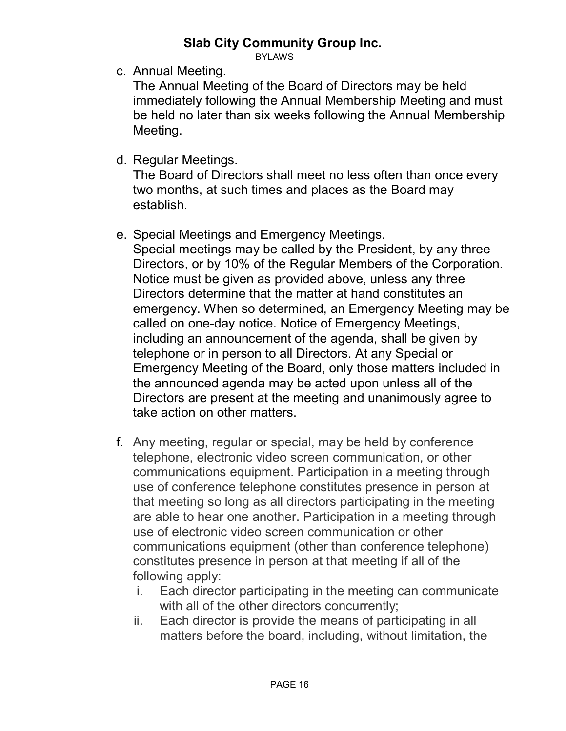BYLAWS

c. Annual Meeting.

The Annual Meeting of the Board of Directors may be held immediately following the Annual Membership Meeting and must be held no later than six weeks following the Annual Membership Meeting.

d. Regular Meetings.

The Board of Directors shall meet no less often than once every two months, at such times and places as the Board may establish.

e. Special Meetings and Emergency Meetings.

Special meetings may be called by the President, by any three Directors, or by 10% of the Regular Members of the Corporation. Notice must be given as provided above, unless any three Directors determine that the matter at hand constitutes an emergency. When so determined, an Emergency Meeting may be called on one-day notice. Notice of Emergency Meetings, including an announcement of the agenda, shall be given by telephone or in person to all Directors. At any Special or Emergency Meeting of the Board, only those matters included in the announced agenda may be acted upon unless all of the Directors are present at the meeting and unanimously agree to take action on other matters.

- f. Any meeting, regular or special, may be held by conference telephone, electronic video screen communication, or other communications equipment. Participation in a meeting through use of conference telephone constitutes presence in person at that meeting so long as all directors participating in the meeting are able to hear one another. Participation in a meeting through use of electronic video screen communication or other communications equipment (other than conference telephone) constitutes presence in person at that meeting if all of the following apply:
	- i. Each director participating in the meeting can communicate with all of the other directors concurrently;
	- ii. Each director is provide the means of participating in all matters before the board, including, without limitation, the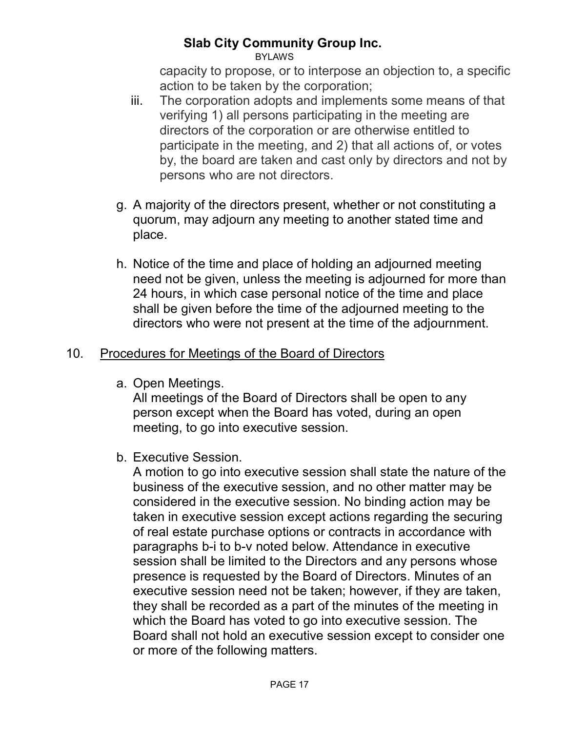BYLAWS

capacity to propose, or to interpose an objection to, a specific action to be taken by the corporation;

- iii. The corporation adopts and implements some means of that verifying 1) all persons participating in the meeting are directors of the corporation or are otherwise entitled to participate in the meeting, and 2) that all actions of, or votes by, the board are taken and cast only by directors and not by persons who are not directors.
- g. A majority of the directors present, whether or not constituting a quorum, may adjourn any meeting to another stated time and place.
- h. Notice of the time and place of holding an adjourned meeting need not be given, unless the meeting is adjourned for more than 24 hours, in which case personal notice of the time and place shall be given before the time of the adjourned meeting to the directors who were not present at the time of the adjournment.

#### 10. Procedures for Meetings of the Board of Directors

a. Open Meetings.

All meetings of the Board of Directors shall be open to any person except when the Board has voted, during an open meeting, to go into executive session.

b. Executive Session.

A motion to go into executive session shall state the nature of the business of the executive session, and no other matter may be considered in the executive session. No binding action may be taken in executive session except actions regarding the securing of real estate purchase options or contracts in accordance with paragraphs b-i to b-v noted below. Attendance in executive session shall be limited to the Directors and any persons whose presence is requested by the Board of Directors. Minutes of an executive session need not be taken; however, if they are taken, they shall be recorded as a part of the minutes of the meeting in which the Board has voted to go into executive session. The Board shall not hold an executive session except to consider one or more of the following matters.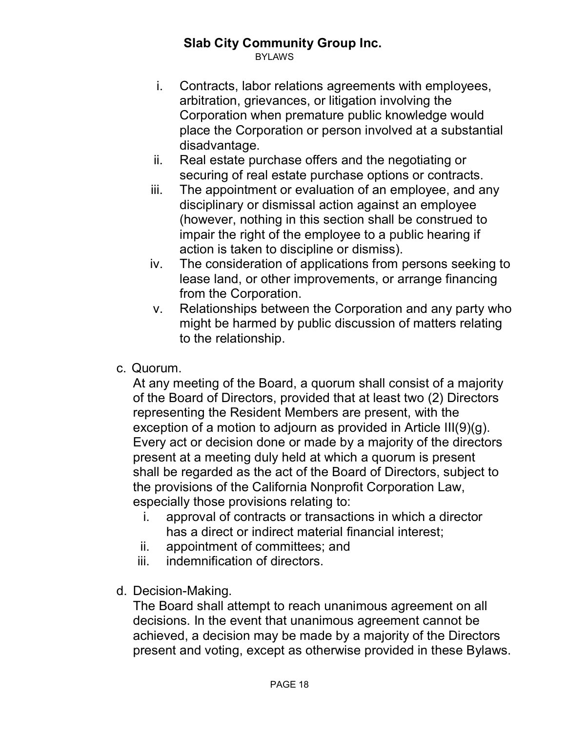BYLAWS

- i. Contracts, labor relations agreements with employees, arbitration, grievances, or litigation involving the Corporation when premature public knowledge would place the Corporation or person involved at a substantial disadvantage.
- ii. Real estate purchase offers and the negotiating or securing of real estate purchase options or contracts.
- iii. The appointment or evaluation of an employee, and any disciplinary or dismissal action against an employee (however, nothing in this section shall be construed to impair the right of the employee to a public hearing if action is taken to discipline or dismiss).
- iv. The consideration of applications from persons seeking to lease land, or other improvements, or arrange financing from the Corporation.
- v. Relationships between the Corporation and any party who might be harmed by public discussion of matters relating to the relationship.
- c. Quorum.

At any meeting of the Board, a quorum shall consist of a majority of the Board of Directors, provided that at least two (2) Directors representing the Resident Members are present, with the exception of a motion to adjourn as provided in Article III(9)(g). Every act or decision done or made by a majority of the directors present at a meeting duly held at which a quorum is present shall be regarded as the act of the Board of Directors, subject to the provisions of the California Nonprofit Corporation Law, especially those provisions relating to:

- i. approval of contracts or transactions in which a director has a direct or indirect material financial interest;
- ii. appointment of committees; and
- iii. indemnification of directors.
- d. Decision-Making.

The Board shall attempt to reach unanimous agreement on all decisions. In the event that unanimous agreement cannot be achieved, a decision may be made by a majority of the Directors present and voting, except as otherwise provided in these Bylaws.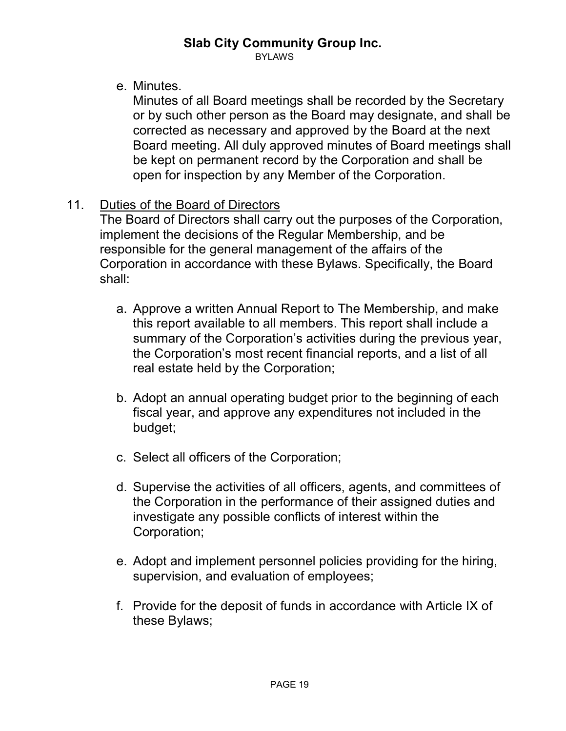BYLAWS

e. Minutes.

Minutes of all Board meetings shall be recorded by the Secretary or by such other person as the Board may designate, and shall be corrected as necessary and approved by the Board at the next Board meeting. All duly approved minutes of Board meetings shall be kept on permanent record by the Corporation and shall be open for inspection by any Member of the Corporation.

#### 11. Duties of the Board of Directors

The Board of Directors shall carry out the purposes of the Corporation, implement the decisions of the Regular Membership, and be responsible for the general management of the affairs of the Corporation in accordance with these Bylaws. Specifically, the Board shall:

- a. Approve a written Annual Report to The Membership, and make this report available to all members. This report shall include a summary of the Corporation's activities during the previous year, the Corporation's most recent financial reports, and a list of all real estate held by the Corporation;
- b. Adopt an annual operating budget prior to the beginning of each fiscal year, and approve any expenditures not included in the budget;
- c. Select all officers of the Corporation;
- d. Supervise the activities of all officers, agents, and committees of the Corporation in the performance of their assigned duties and investigate any possible conflicts of interest within the Corporation;
- e. Adopt and implement personnel policies providing for the hiring, supervision, and evaluation of employees;
- f. Provide for the deposit of funds in accordance with Article IX of these Bylaws;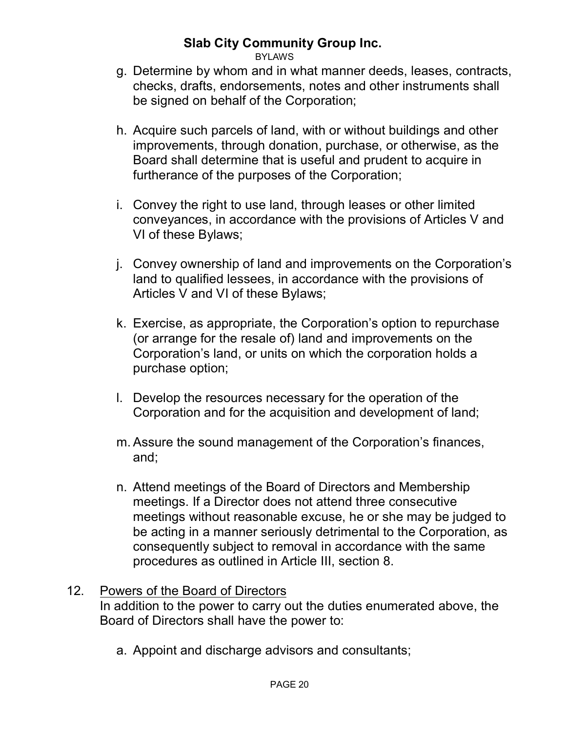**BYLAWS** 

- g. Determine by whom and in what manner deeds, leases, contracts, checks, drafts, endorsements, notes and other instruments shall be signed on behalf of the Corporation;
- h. Acquire such parcels of land, with or without buildings and other improvements, through donation, purchase, or otherwise, as the Board shall determine that is useful and prudent to acquire in furtherance of the purposes of the Corporation;
- i. Convey the right to use land, through leases or other limited conveyances, in accordance with the provisions of Articles V and VI of these Bylaws;
- j. Convey ownership of land and improvements on the Corporation's land to qualified lessees, in accordance with the provisions of Articles V and VI of these Bylaws;
- k. Exercise, as appropriate, the Corporation's option to repurchase (or arrange for the resale of) land and improvements on the Corporation's land, or units on which the corporation holds a purchase option;
- l. Develop the resources necessary for the operation of the Corporation and for the acquisition and development of land;
- m. Assure the sound management of the Corporation's finances, and;
- n. Attend meetings of the Board of Directors and Membership meetings. If a Director does not attend three consecutive meetings without reasonable excuse, he or she may be judged to be acting in a manner seriously detrimental to the Corporation, as consequently subject to removal in accordance with the same procedures as outlined in Article III, section 8.

#### 12. Powers of the Board of Directors

In addition to the power to carry out the duties enumerated above, the Board of Directors shall have the power to:

a. Appoint and discharge advisors and consultants;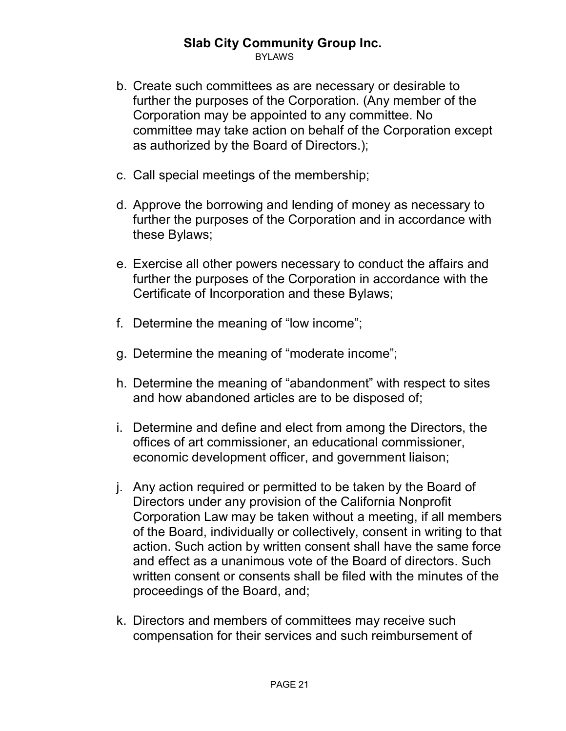BYLAWS

- b. Create such committees as are necessary or desirable to further the purposes of the Corporation. (Any member of the Corporation may be appointed to any committee. No committee may take action on behalf of the Corporation except as authorized by the Board of Directors.);
- c. Call special meetings of the membership;
- d. Approve the borrowing and lending of money as necessary to further the purposes of the Corporation and in accordance with these Bylaws;
- e. Exercise all other powers necessary to conduct the affairs and further the purposes of the Corporation in accordance with the Certificate of Incorporation and these Bylaws;
- f. Determine the meaning of "low income";
- g. Determine the meaning of "moderate income";
- h. Determine the meaning of "abandonment" with respect to sites and how abandoned articles are to be disposed of;
- i. Determine and define and elect from among the Directors, the offices of art commissioner, an educational commissioner, economic development officer, and government liaison;
- j. Any action required or permitted to be taken by the Board of Directors under any provision of the California Nonprofit Corporation Law may be taken without a meeting, if all members of the Board, individually or collectively, consent in writing to that action. Such action by written consent shall have the same force and effect as a unanimous vote of the Board of directors. Such written consent or consents shall be filed with the minutes of the proceedings of the Board, and;
- k. Directors and members of committees may receive such compensation for their services and such reimbursement of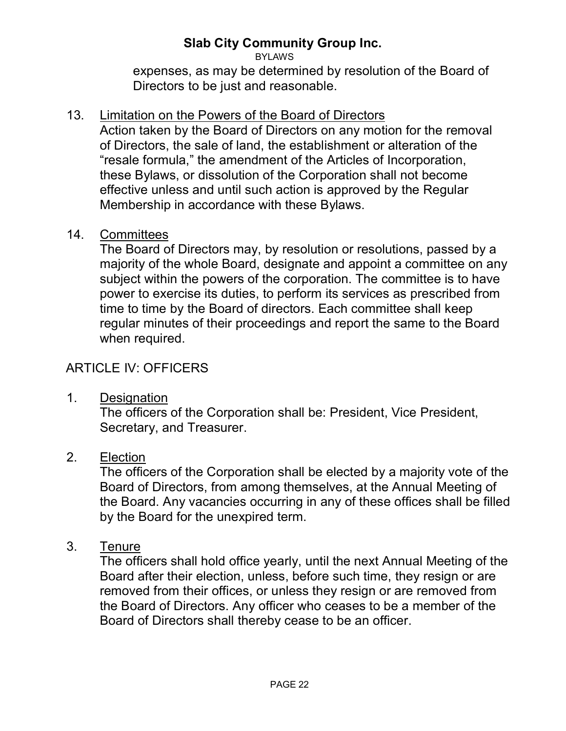BYLAWS

expenses, as may be determined by resolution of the Board of Directors to be just and reasonable.

#### 13. Limitation on the Powers of the Board of Directors

Action taken by the Board of Directors on any motion for the removal of Directors, the sale of land, the establishment or alteration of the "resale formula," the amendment of the Articles of Incorporation, these Bylaws, or dissolution of the Corporation shall not become effective unless and until such action is approved by the Regular Membership in accordance with these Bylaws.

#### 14. Committees

The Board of Directors may, by resolution or resolutions, passed by a majority of the whole Board, designate and appoint a committee on any subject within the powers of the corporation. The committee is to have power to exercise its duties, to perform its services as prescribed from time to time by the Board of directors. Each committee shall keep regular minutes of their proceedings and report the same to the Board when required.

#### ARTICLE IV: OFFICERS

1. Designation

The officers of the Corporation shall be: President, Vice President, Secretary, and Treasurer.

#### 2. Election

The officers of the Corporation shall be elected by a majority vote of the Board of Directors, from among themselves, at the Annual Meeting of the Board. Any vacancies occurring in any of these offices shall be filled by the Board for the unexpired term.

#### 3. Tenure

The officers shall hold office yearly, until the next Annual Meeting of the Board after their election, unless, before such time, they resign or are removed from their offices, or unless they resign or are removed from the Board of Directors. Any officer who ceases to be a member of the Board of Directors shall thereby cease to be an officer.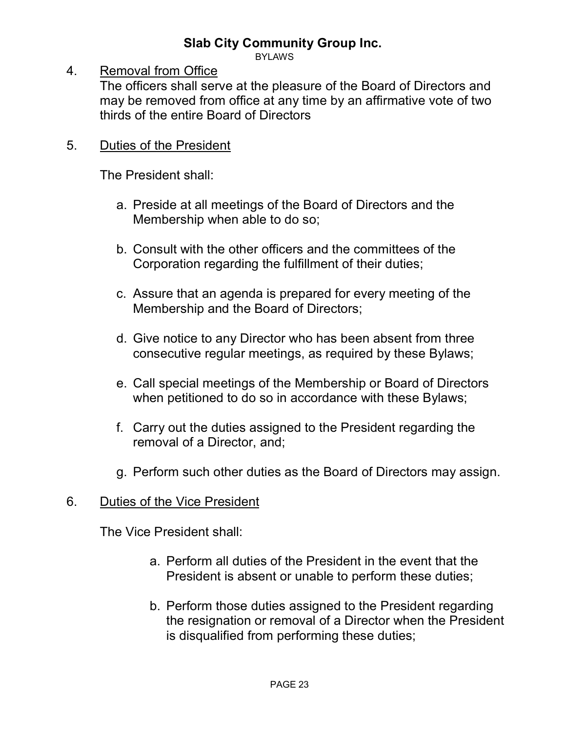BYLAWS

#### 4. Removal from Office

The officers shall serve at the pleasure of the Board of Directors and may be removed from office at any time by an affirmative vote of two thirds of the entire Board of Directors

#### 5. Duties of the President

The President shall:

- a. Preside at all meetings of the Board of Directors and the Membership when able to do so;
- b. Consult with the other officers and the committees of the Corporation regarding the fulfillment of their duties;
- c. Assure that an agenda is prepared for every meeting of the Membership and the Board of Directors;
- d. Give notice to any Director who has been absent from three consecutive regular meetings, as required by these Bylaws;
- e. Call special meetings of the Membership or Board of Directors when petitioned to do so in accordance with these Bylaws;
- f. Carry out the duties assigned to the President regarding the removal of a Director, and;
- g. Perform such other duties as the Board of Directors may assign.

#### 6. Duties of the Vice President

The Vice President shall:

- a. Perform all duties of the President in the event that the President is absent or unable to perform these duties;
- b. Perform those duties assigned to the President regarding the resignation or removal of a Director when the President is disqualified from performing these duties;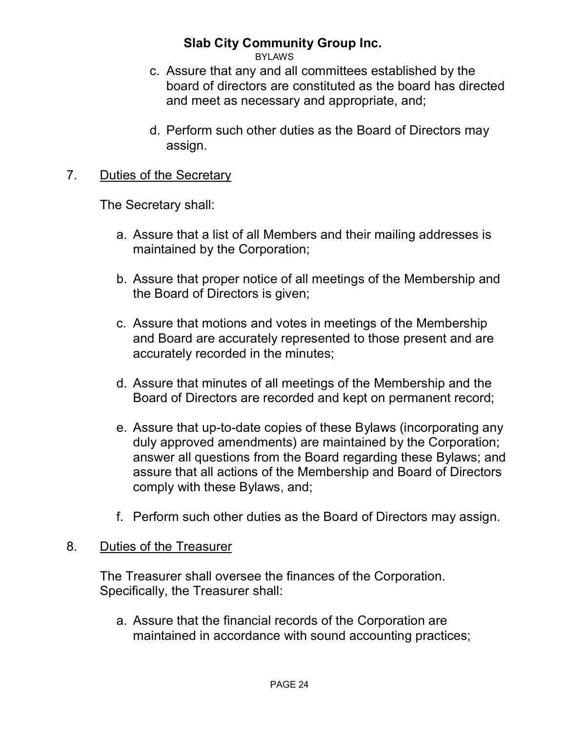BYLAWS

- c. Assure that any and all committees established by the board of directors are constituted as the board has directed and meet as necessary and appropriate, and;
- d. Perform such other duties as the Board of Directors may assign.

#### 7. Duties of the Secretary

The Secretary shall:

- a. Assure that a list of all Members and their mailing addresses is maintained by the Corporation;
- b. Assure that proper notice of all meetings of the Membership and the Board of Directors is given;
- c. Assure that motions and votes in meetings of the Membership and Board are accurately represented to those present and are accurately recorded in the minutes;
- d. Assure that minutes of all meetings of the Membership and the Board of Directors are recorded and kept on permanent record;
- e. Assure that up-to-date copies of these Bylaws (incorporating any duly approved amendments) are maintained by the Corporation; answer all questions from the Board regarding these Bylaws; and assure that all actions of the Membership and Board of Directors comply with these Bylaws, and;
- f. Perform such other duties as the Board of Directors may assign.

#### 8. Duties of the Treasurer

The Treasurer shall oversee the finances of the Corporation. Specifically, the Treasurer shall:

a. Assure that the financial records of the Corporation are maintained in accordance with sound accounting practices;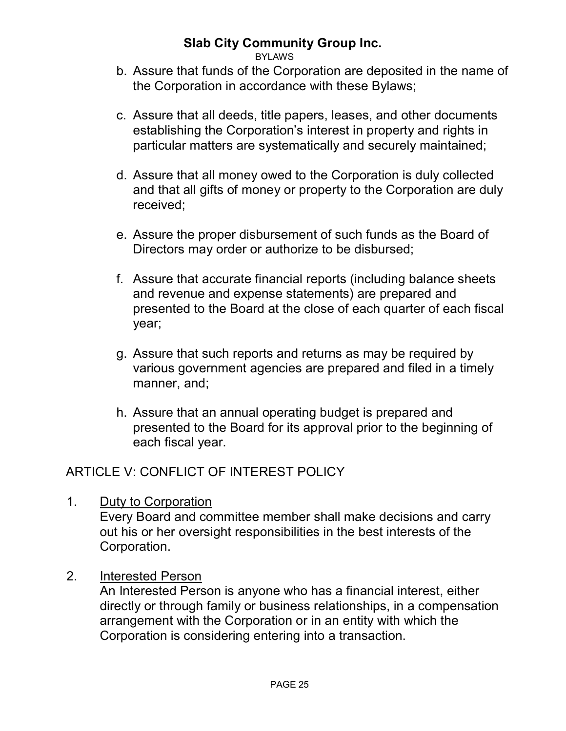BYLAWS

- b. Assure that funds of the Corporation are deposited in the name of the Corporation in accordance with these Bylaws;
- c. Assure that all deeds, title papers, leases, and other documents establishing the Corporation's interest in property and rights in particular matters are systematically and securely maintained;
- d. Assure that all money owed to the Corporation is duly collected and that all gifts of money or property to the Corporation are duly received;
- e. Assure the proper disbursement of such funds as the Board of Directors may order or authorize to be disbursed;
- f. Assure that accurate financial reports (including balance sheets and revenue and expense statements) are prepared and presented to the Board at the close of each quarter of each fiscal year;
- g. Assure that such reports and returns as may be required by various government agencies are prepared and filed in a timely manner, and;
- h. Assure that an annual operating budget is prepared and presented to the Board for its approval prior to the beginning of each fiscal year.

# ARTICLE V: CONFLICT OF INTEREST POLICY

1. Duty to Corporation

Every Board and committee member shall make decisions and carry out his or her oversight responsibilities in the best interests of the Corporation.

2. Interested Person

An Interested Person is anyone who has a financial interest, either directly or through family or business relationships, in a compensation arrangement with the Corporation or in an entity with which the Corporation is considering entering into a transaction.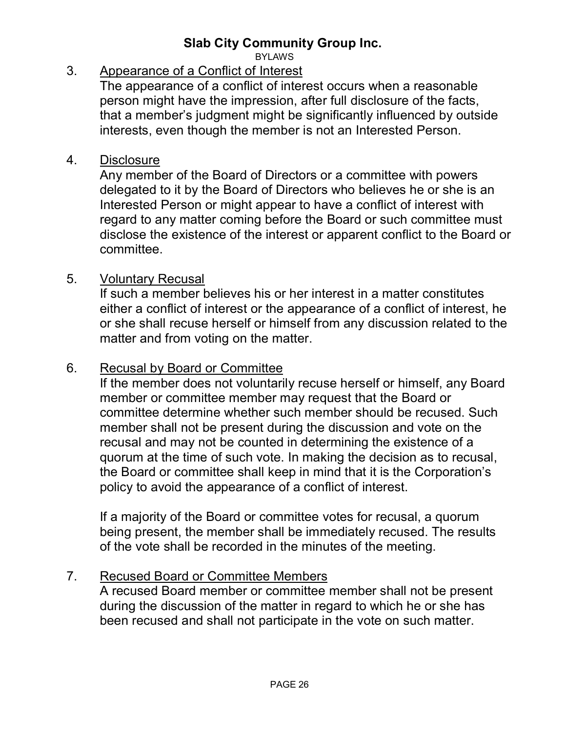**BYLAWS** 

#### 3. Appearance of a Conflict of Interest

The appearance of a conflict of interest occurs when a reasonable person might have the impression, after full disclosure of the facts, that a member's judgment might be significantly influenced by outside interests, even though the member is not an Interested Person.

#### 4. Disclosure

Any member of the Board of Directors or a committee with powers delegated to it by the Board of Directors who believes he or she is an Interested Person or might appear to have a conflict of interest with regard to any matter coming before the Board or such committee must disclose the existence of the interest or apparent conflict to the Board or committee.

#### 5. Voluntary Recusal

If such a member believes his or her interest in a matter constitutes either a conflict of interest or the appearance of a conflict of interest, he or she shall recuse herself or himself from any discussion related to the matter and from voting on the matter.

#### 6. Recusal by Board or Committee

If the member does not voluntarily recuse herself or himself, any Board member or committee member may request that the Board or committee determine whether such member should be recused. Such member shall not be present during the discussion and vote on the recusal and may not be counted in determining the existence of a quorum at the time of such vote. In making the decision as to recusal, the Board or committee shall keep in mind that it is the Corporation's policy to avoid the appearance of a conflict of interest.

If a majority of the Board or committee votes for recusal, a quorum being present, the member shall be immediately recused. The results of the vote shall be recorded in the minutes of the meeting.

#### 7. Recused Board or Committee Members

A recused Board member or committee member shall not be present during the discussion of the matter in regard to which he or she has been recused and shall not participate in the vote on such matter.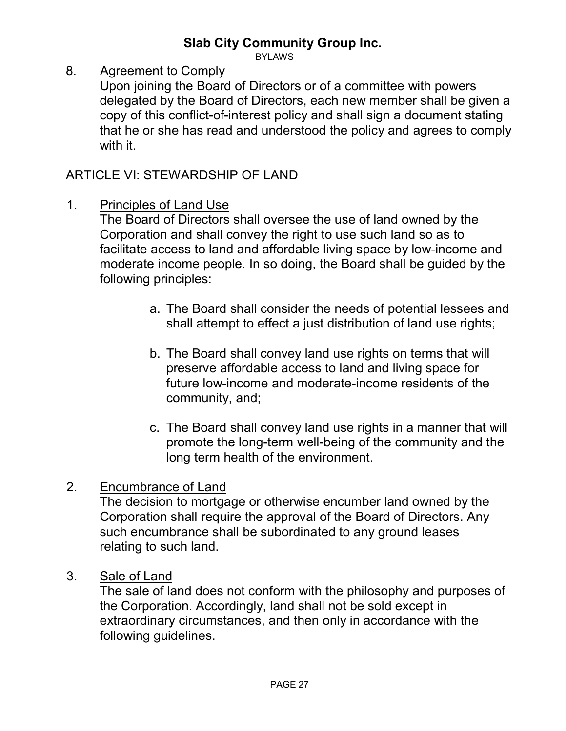BYLAWS

8. Agreement to Comply

Upon joining the Board of Directors or of a committee with powers delegated by the Board of Directors, each new member shall be given a copy of this conflict-of-interest policy and shall sign a document stating that he or she has read and understood the policy and agrees to comply with it.

#### ARTICLE VI: STEWARDSHIP OF LAND

1. Principles of Land Use

The Board of Directors shall oversee the use of land owned by the Corporation and shall convey the right to use such land so as to facilitate access to land and affordable living space by low-income and moderate income people. In so doing, the Board shall be guided by the following principles:

- a. The Board shall consider the needs of potential lessees and shall attempt to effect a just distribution of land use rights;
- b. The Board shall convey land use rights on terms that will preserve affordable access to land and living space for future low-income and moderate-income residents of the community, and;
- c. The Board shall convey land use rights in a manner that will promote the long-term well-being of the community and the long term health of the environment.

#### 2. Encumbrance of Land

The decision to mortgage or otherwise encumber land owned by the Corporation shall require the approval of the Board of Directors. Any such encumbrance shall be subordinated to any ground leases relating to such land.

3. Sale of Land

The sale of land does not conform with the philosophy and purposes of the Corporation. Accordingly, land shall not be sold except in extraordinary circumstances, and then only in accordance with the following guidelines.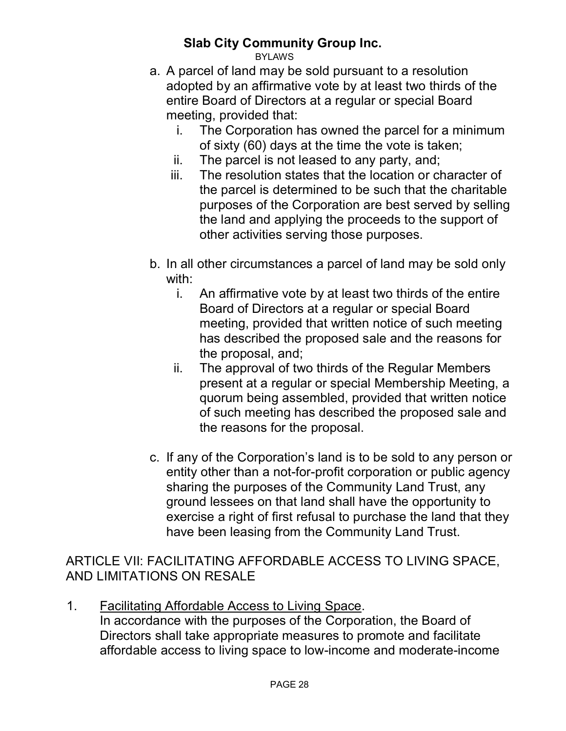BYLAWS

- a. A parcel of land may be sold pursuant to a resolution adopted by an affirmative vote by at least two thirds of the entire Board of Directors at a regular or special Board meeting, provided that:
	- i. The Corporation has owned the parcel for a minimum of sixty (60) days at the time the vote is taken;
	- ii. The parcel is not leased to any party, and;
	- iii. The resolution states that the location or character of the parcel is determined to be such that the charitable purposes of the Corporation are best served by selling the land and applying the proceeds to the support of other activities serving those purposes.
- b. In all other circumstances a parcel of land may be sold only with:
	- i. An affirmative vote by at least two thirds of the entire Board of Directors at a regular or special Board meeting, provided that written notice of such meeting has described the proposed sale and the reasons for the proposal, and;
	- ii. The approval of two thirds of the Regular Members present at a regular or special Membership Meeting, a quorum being assembled, provided that written notice of such meeting has described the proposed sale and the reasons for the proposal.
- c. If any of the Corporation's land is to be sold to any person or entity other than a not-for-profit corporation or public agency sharing the purposes of the Community Land Trust, any ground lessees on that land shall have the opportunity to exercise a right of first refusal to purchase the land that they have been leasing from the Community Land Trust.

#### ARTICLE VII: FACILITATING AFFORDABLE ACCESS TO LIVING SPACE, AND LIMITATIONS ON RESALE

1. Facilitating Affordable Access to Living Space. In accordance with the purposes of the Corporation, the Board of Directors shall take appropriate measures to promote and facilitate affordable access to living space to low-income and moderate-income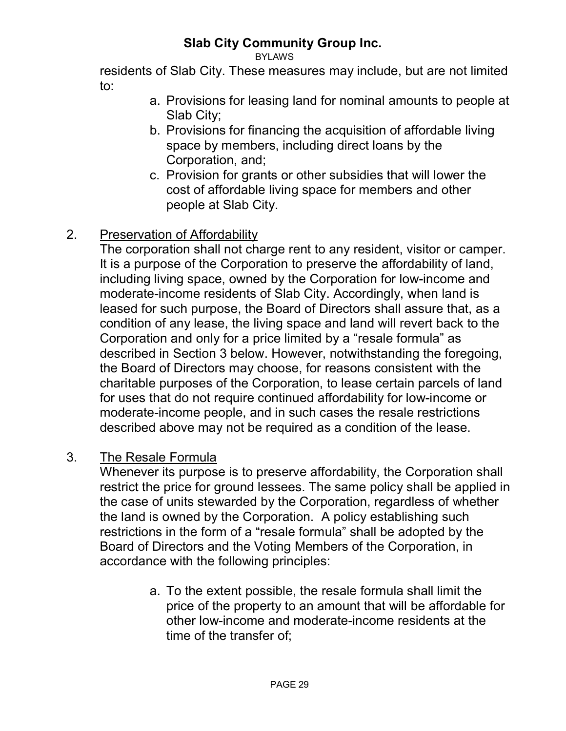BYLAWS

residents of Slab City. These measures may include, but are not limited to:

- a. Provisions for leasing land for nominal amounts to people at Slab City;
- b. Provisions for financing the acquisition of affordable living space by members, including direct loans by the Corporation, and;
- c. Provision for grants or other subsidies that will lower the cost of affordable living space for members and other people at Slab City.

# 2. Preservation of Affordability

The corporation shall not charge rent to any resident, visitor or camper. It is a purpose of the Corporation to preserve the affordability of land, including living space, owned by the Corporation for low-income and moderate-income residents of Slab City. Accordingly, when land is leased for such purpose, the Board of Directors shall assure that, as a condition of any lease, the living space and land will revert back to the Corporation and only for a price limited by a "resale formula" as described in Section 3 below. However, notwithstanding the foregoing, the Board of Directors may choose, for reasons consistent with the charitable purposes of the Corporation, to lease certain parcels of land for uses that do not require continued affordability for low-income or moderate-income people, and in such cases the resale restrictions described above may not be required as a condition of the lease.

#### 3. The Resale Formula

Whenever its purpose is to preserve affordability, the Corporation shall restrict the price for ground lessees. The same policy shall be applied in the case of units stewarded by the Corporation, regardless of whether the land is owned by the Corporation. A policy establishing such restrictions in the form of a "resale formula" shall be adopted by the Board of Directors and the Voting Members of the Corporation, in accordance with the following principles:

> a. To the extent possible, the resale formula shall limit the price of the property to an amount that will be affordable for other low-income and moderate-income residents at the time of the transfer of;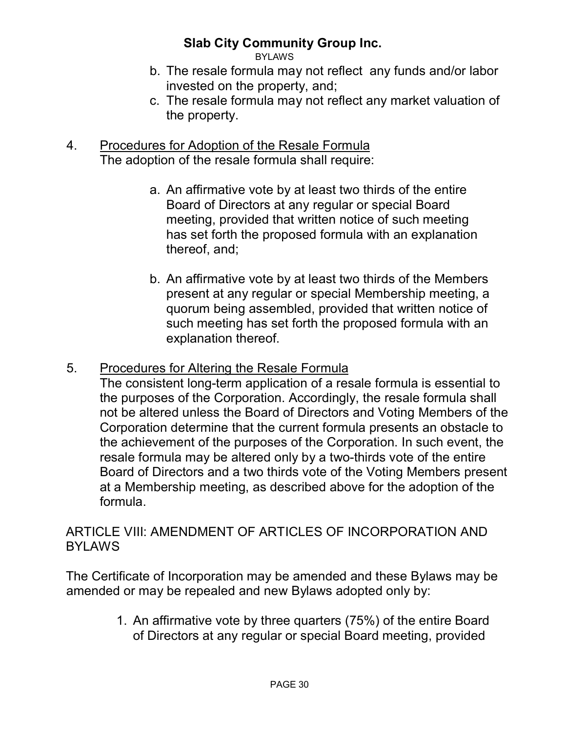BYLAWS

- b. The resale formula may not reflect any funds and/or labor invested on the property, and;
- c. The resale formula may not reflect any market valuation of the property.
- 4. Procedures for Adoption of the Resale Formula The adoption of the resale formula shall require:
	- a. An affirmative vote by at least two thirds of the entire Board of Directors at any regular or special Board meeting, provided that written notice of such meeting has set forth the proposed formula with an explanation thereof, and;
	- b. An affirmative vote by at least two thirds of the Members present at any regular or special Membership meeting, a quorum being assembled, provided that written notice of such meeting has set forth the proposed formula with an explanation thereof.

#### 5. Procedures for Altering the Resale Formula

The consistent long-term application of a resale formula is essential to the purposes of the Corporation. Accordingly, the resale formula shall not be altered unless the Board of Directors and Voting Members of the Corporation determine that the current formula presents an obstacle to the achievement of the purposes of the Corporation. In such event, the resale formula may be altered only by a two-thirds vote of the entire Board of Directors and a two thirds vote of the Voting Members present at a Membership meeting, as described above for the adoption of the formula.

#### ARTICLE VIII: AMENDMENT OF ARTICLES OF INCORPORATION AND BYLAWS

The Certificate of Incorporation may be amended and these Bylaws may be amended or may be repealed and new Bylaws adopted only by:

> 1. An affirmative vote by three quarters (75%) of the entire Board of Directors at any regular or special Board meeting, provided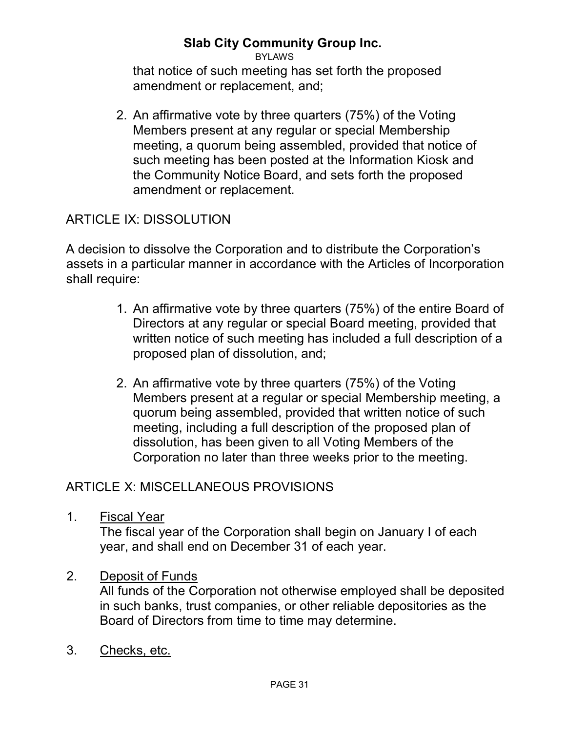#### **Slab City Community Group Inc.**BYLAWS

that notice of such meeting has set forth the proposed amendment or replacement, and;

2. An affirmative vote by three quarters (75%) of the Voting Members present at any regular or special Membership meeting, a quorum being assembled, provided that notice of such meeting has been posted at the Information Kiosk and the Community Notice Board, and sets forth the proposed amendment or replacement.

# ARTICLE IX: DISSOLUTION

A decision to dissolve the Corporation and to distribute the Corporation's assets in a particular manner in accordance with the Articles of Incorporation shall require:

- 1. An affirmative vote by three quarters (75%) of the entire Board of Directors at any regular or special Board meeting, provided that written notice of such meeting has included a full description of a proposed plan of dissolution, and;
- 2. An affirmative vote by three quarters (75%) of the Voting Members present at a regular or special Membership meeting, a quorum being assembled, provided that written notice of such meeting, including a full description of the proposed plan of dissolution, has been given to all Voting Members of the Corporation no later than three weeks prior to the meeting.

# ARTICLE X: MISCELLANEOUS PROVISIONS

1. Fiscal Year

The fiscal year of the Corporation shall begin on January I of each year, and shall end on December 31 of each year.

2. Deposit of Funds

All funds of the Corporation not otherwise employed shall be deposited in such banks, trust companies, or other reliable depositories as the Board of Directors from time to time may determine.

3. Checks, etc.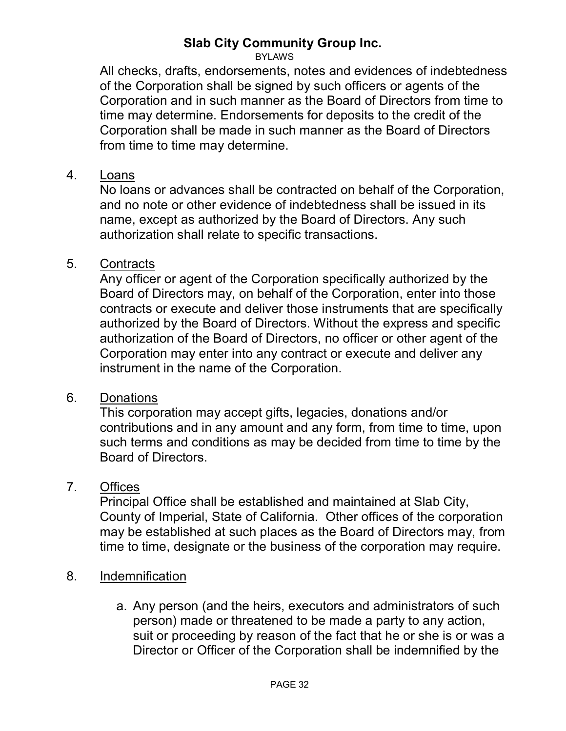BYLAWS

All checks, drafts, endorsements, notes and evidences of indebtedness of the Corporation shall be signed by such officers or agents of the Corporation and in such manner as the Board of Directors from time to time may determine. Endorsements for deposits to the credit of the Corporation shall be made in such manner as the Board of Directors from time to time may determine.

#### 4. Loans

No loans or advances shall be contracted on behalf of the Corporation, and no note or other evidence of indebtedness shall be issued in its name, except as authorized by the Board of Directors. Any such authorization shall relate to specific transactions.

#### 5. Contracts

Any officer or agent of the Corporation specifically authorized by the Board of Directors may, on behalf of the Corporation, enter into those contracts or execute and deliver those instruments that are specifically authorized by the Board of Directors. Without the express and specific authorization of the Board of Directors, no officer or other agent of the Corporation may enter into any contract or execute and deliver any instrument in the name of the Corporation.

#### 6. Donations

This corporation may accept gifts, legacies, donations and/or contributions and in any amount and any form, from time to time, upon such terms and conditions as may be decided from time to time by the Board of Directors.

#### 7. Offices

Principal Office shall be established and maintained at Slab City, County of Imperial, State of California. Other offices of the corporation may be established at such places as the Board of Directors may, from time to time, designate or the business of the corporation may require.

#### 8. Indemnification

a. Any person (and the heirs, executors and administrators of such person) made or threatened to be made a party to any action, suit or proceeding by reason of the fact that he or she is or was a Director or Officer of the Corporation shall be indemnified by the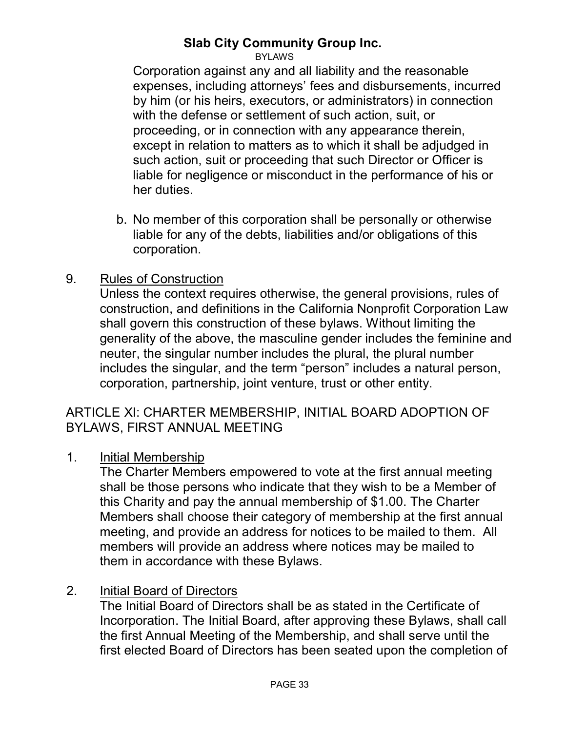BYLAWS

Corporation against any and all liability and the reasonable expenses, including attorneys' fees and disbursements, incurred by him (or his heirs, executors, or administrators) in connection with the defense or settlement of such action, suit, or proceeding, or in connection with any appearance therein, except in relation to matters as to which it shall be adjudged in such action, suit or proceeding that such Director or Officer is liable for negligence or misconduct in the performance of his or her duties.

b. No member of this corporation shall be personally or otherwise liable for any of the debts, liabilities and/or obligations of this corporation.

#### 9. Rules of Construction

Unless the context requires otherwise, the general provisions, rules of construction, and definitions in the California Nonprofit Corporation Law shall govern this construction of these bylaws. Without limiting the generality of the above, the masculine gender includes the feminine and neuter, the singular number includes the plural, the plural number includes the singular, and the term "person" includes a natural person, corporation, partnership, joint venture, trust or other entity.

#### ARTICLE XI: CHARTER MEMBERSHIP, INITIAL BOARD ADOPTION OF BYLAWS, FIRST ANNUAL MEETING

1. Initial Membership

The Charter Members empowered to vote at the first annual meeting shall be those persons who indicate that they wish to be a Member of this Charity and pay the annual membership of \$1.00. The Charter Members shall choose their category of membership at the first annual meeting, and provide an address for notices to be mailed to them. All members will provide an address where notices may be mailed to them in accordance with these Bylaws.

#### 2. Initial Board of Directors

The Initial Board of Directors shall be as stated in the Certificate of Incorporation. The Initial Board, after approving these Bylaws, shall call the first Annual Meeting of the Membership, and shall serve until the first elected Board of Directors has been seated upon the completion of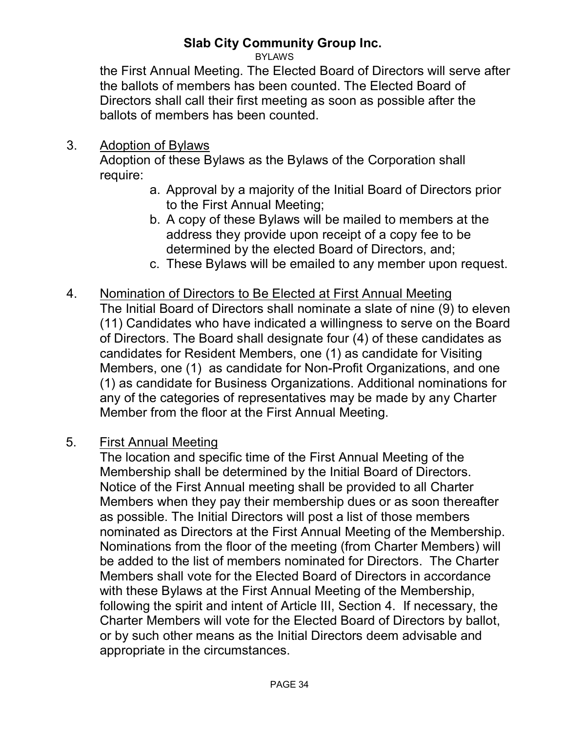BYLAWS

the First Annual Meeting. The Elected Board of Directors will serve after the ballots of members has been counted. The Elected Board of Directors shall call their first meeting as soon as possible after the ballots of members has been counted.

3. Adoption of Bylaws

Adoption of these Bylaws as the Bylaws of the Corporation shall require:

- a. Approval by a majority of the Initial Board of Directors prior to the First Annual Meeting;
- b. A copy of these Bylaws will be mailed to members at the address they provide upon receipt of a copy fee to be determined by the elected Board of Directors, and;
- c. These Bylaws will be emailed to any member upon request.
- 4. Nomination of Directors to Be Elected at First Annual Meeting The Initial Board of Directors shall nominate a slate of nine (9) to eleven (11) Candidates who have indicated a willingness to serve on the Board of Directors. The Board shall designate four (4) of these candidates as candidates for Resident Members, one (1) as candidate for Visiting Members, one (1) as candidate for Non-Profit Organizations, and one (1) as candidate for Business Organizations. Additional nominations for

any of the categories of representatives may be made by any Charter Member from the floor at the First Annual Meeting.

5. First Annual Meeting

The location and specific time of the First Annual Meeting of the Membership shall be determined by the Initial Board of Directors. Notice of the First Annual meeting shall be provided to all Charter Members when they pay their membership dues or as soon thereafter as possible. The Initial Directors will post a list of those members nominated as Directors at the First Annual Meeting of the Membership. Nominations from the floor of the meeting (from Charter Members) will be added to the list of members nominated for Directors. The Charter Members shall vote for the Elected Board of Directors in accordance with these Bylaws at the First Annual Meeting of the Membership, following the spirit and intent of Article III, Section 4. If necessary, the Charter Members will vote for the Elected Board of Directors by ballot, or by such other means as the Initial Directors deem advisable and appropriate in the circumstances.